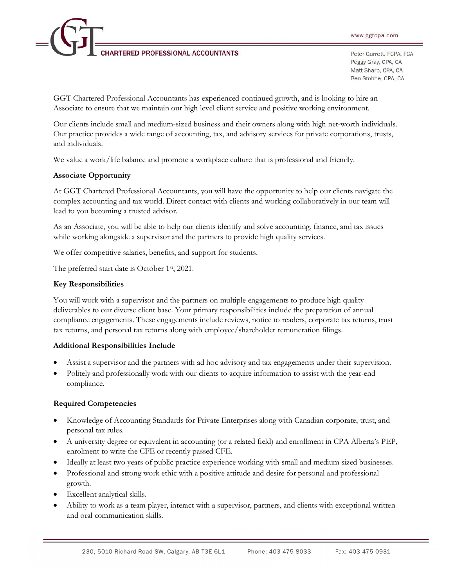**RTERED PROFESSIONAL ACCOUNTANTS** 

Peter Garrett, FCPA, FCA Peggy Gray, CPA, CA Matt Sharp, CPA, CA Ben Stobbe, CPA, CA

GGT Chartered Professional Accountants has experienced continued growth, and is looking to hire an Associate to ensure that we maintain our high level client service and positive working environment.

Our clients include small and medium-sized business and their owners along with high net-worth individuals. Our practice provides a wide range of accounting, tax, and advisory services for private corporations, trusts, and individuals.

We value a work/life balance and promote a workplace culture that is professional and friendly.

## **Associate Opportunity**

At GGT Chartered Professional Accountants, you will have the opportunity to help our clients navigate the complex accounting and tax world. Direct contact with clients and working collaboratively in our team will lead to you becoming a trusted advisor.

As an Associate, you will be able to help our clients identify and solve accounting, finance, and tax issues while working alongside a supervisor and the partners to provide high quality services.

We offer competitive salaries, benefits, and support for students.

The preferred start date is October 1st, 2021.

## **Key Responsibilities**

You will work with a supervisor and the partners on multiple engagements to produce high quality deliverables to our diverse client base. Your primary responsibilities include the preparation of annual compliance engagements. These engagements include reviews, notice to readers, corporate tax returns, trust tax returns, and personal tax returns along with employee/shareholder remuneration filings.

## **Additional Responsibilities Include**

- Assist a supervisor and the partners with ad hoc advisory and tax engagements under their supervision.
- Politely and professionally work with our clients to acquire information to assist with the year-end compliance.

## **Required Competencies**

- Knowledge of Accounting Standards for Private Enterprises along with Canadian corporate, trust, and personal tax rules.
- · A university degree or equivalent in accounting (or a related field) and enrollment in CPA Alberta's PEP, enrolment to write the CFE or recently passed CFE.
- Ideally at least two years of public practice experience working with small and medium sized businesses.
- · Professional and strong work ethic with a positive attitude and desire for personal and professional growth.
- Excellent analytical skills.
- · Ability to work as a team player, interact with a supervisor, partners, and clients with exceptional written and oral communication skills.